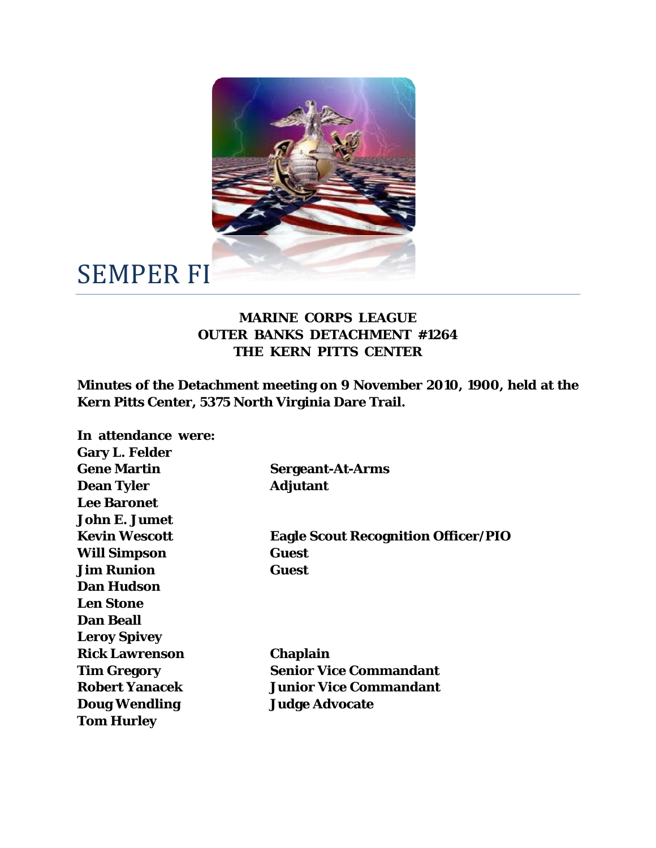

## SEMPER FI

## **MARINE CORPS LEAGUE OUTER BANKS DETACHMENT #1264 THE KERN PITTS CENTER**

**Minutes of the Detachment meeting on 9 November 2010, 1900, held at the Kern Pitts Center, 5375 North Virginia Dare Trail.** 

| In attendance were:   |                                            |
|-----------------------|--------------------------------------------|
| <b>Gary L. Felder</b> |                                            |
| <b>Gene Martin</b>    | <b>Sergeant-At-Arms</b>                    |
| <b>Dean Tyler</b>     | <b>Adjutant</b>                            |
| <b>Lee Baronet</b>    |                                            |
| John E. Jumet         |                                            |
| <b>Kevin Wescott</b>  | <b>Eagle Scout Recognition Officer/PIO</b> |
| <b>Will Simpson</b>   | <b>Guest</b>                               |
| <b>Jim Runion</b>     | <b>Guest</b>                               |
| <b>Dan Hudson</b>     |                                            |
| <b>Len Stone</b>      |                                            |
| <b>Dan Beall</b>      |                                            |
| <b>Leroy Spivey</b>   |                                            |
| <b>Rick Lawrenson</b> | <b>Chaplain</b>                            |
| <b>Tim Gregory</b>    | <b>Senior Vice Commandant</b>              |
| <b>Robert Yanacek</b> | <b>Junior Vice Commandant</b>              |
| <b>Doug Wendling</b>  | <b>Judge Advocate</b>                      |
| <b>Tom Hurley</b>     |                                            |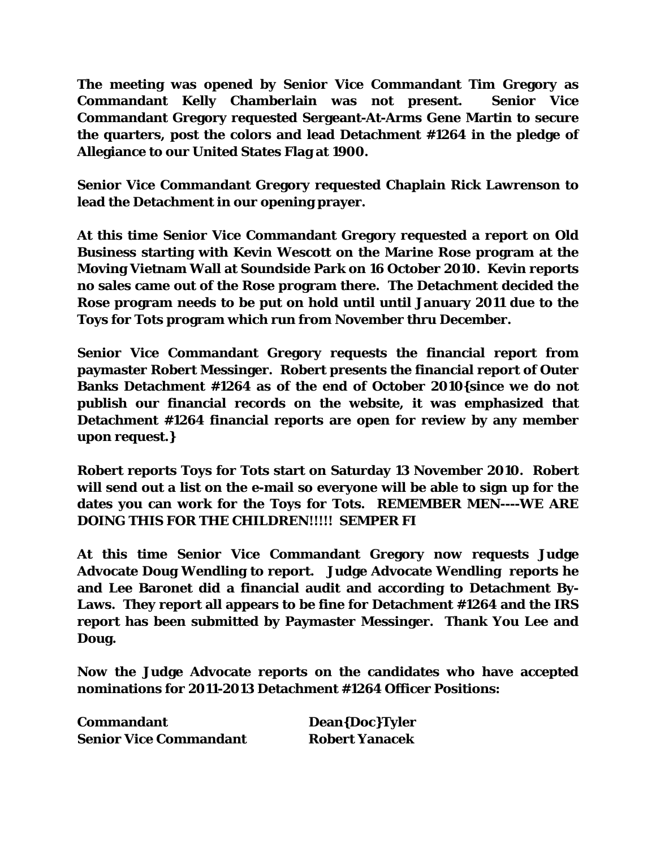**The meeting was opened by Senior Vice Commandant Tim Gregory as Commandant Kelly Chamberlain was not present. Senior Vice Commandant Gregory requested Sergeant-At-Arms Gene Martin to secure the quarters, post the colors and lead Detachment #1264 in the pledge of Allegiance to our United States Flag at 1900.** 

**Senior Vice Commandant Gregory requested Chaplain Rick Lawrenson to lead the Detachment in our opening prayer.** 

**At this time Senior Vice Commandant Gregory requested a report on Old Business starting with Kevin Wescott on the Marine Rose program at the Moving Vietnam Wall at Soundside Park on 16 October 2010. Kevin reports no sales came out of the Rose program there. The Detachment decided the Rose program needs to be put on hold until until January 2011 due to the Toys for Tots program which run from November thru December.** 

**Senior Vice Commandant Gregory requests the financial report from paymaster Robert Messinger. Robert presents the financial report of Outer Banks Detachment #1264 as of the end of October 2010{since we do not publish our financial records on the website, it was emphasized that Detachment #1264 financial reports are open for review by any member upon request.}** 

**Robert reports Toys for Tots start on Saturday 13 November 2010. Robert will send out a list on the e-mail so everyone will be able to sign up for the dates you can work for the Toys for Tots. REMEMBER MEN----WE ARE DOING THIS FOR THE CHILDREN!!!!! SEMPER FI** 

**At this time Senior Vice Commandant Gregory now requests Judge Advocate Doug Wendling to report. Judge Advocate Wendling reports he and Lee Baronet did a financial audit and according to Detachment By-Laws. They report all appears to be fine for Detachment #1264 and the IRS report has been submitted by Paymaster Messinger. Thank You Lee and Doug.** 

**Now the Judge Advocate reports on the candidates who have accepted nominations for 2011-2013 Detachment #1264 Officer Positions:** 

| <b>Commandant</b>             | Dean{Doc}Tyler        |
|-------------------------------|-----------------------|
| <b>Senior Vice Commandant</b> | <b>Robert Yanacek</b> |